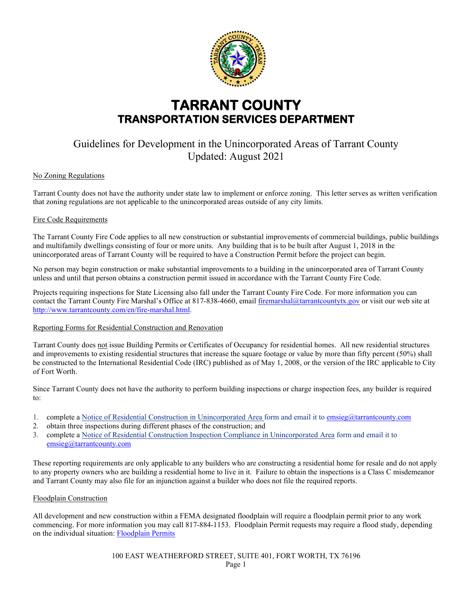

# **TARRANT COUNTY TRANSPORTATION SERVICES DEPARTMENT**

# Guidelines for Development in the Unincorporated Areas of Tarrant County Updated: August 2021

# No Zoning Regulations

Tarrant County does not have the authority under state law to implement or enforce zoning. This letter serves as written verification that zoning regulations are not applicable to the unincorporated areas outside of any city limits.

### Fire Code Requirements

The Tarrant County Fire Code applies to all new construction or substantial improvements of commercial buildings, public buildings and multifamily dwellings consisting of four or more units. Any building that is to be built after August 1, 2018 in the unincorporated areas of Tarrant County will be required to have a Construction Permit before the project can begin.

No person may begin construction or make substantial improvements to a building in the unincorporated area of Tarrant County unless and until that person obtains a construction permit issued in accordance with the Tarrant County Fire Code.

Projects requiring inspections for State Licensing also fall under the Tarrant County Fire Code. For more information you can contact the Tarrant County Fire Marshal's Office at 817-838-4660, emai[l firemarshal@tarrantcountytx.gov](mailto:firemarshal@tarrantcountytx.gov) or visit our web site at [http://www.tarrantcounty.com/en/fire-marshal.html.](http://www.tarrantcounty.com/en/fire-marshal.html)

### Reporting Forms for Residential Construction and Renovation

Tarrant County does not issue Building Permits or Certificates of Occupancy for residential homes. All new residential structures and improvements to existing residential structures that increase the square footage or value by more than fifty percent (50%) shall be constructed to the International Residential Code (IRC) published as of May 1, 2008, or the version of the IRC applicable to City of Fort Worth.

Since Tarrant County does not have the authority to perform building inspections or charge inspection fees, any builder is required to:

- 1. complete a [Notice of Residential Construction in Unincorporated Area form](http://access.tarrantcounty.com/content/dam/main/county/Notice_of_Construction_Form2.pdf) and email it to [emsieg@tarrantcounty.com](mailto:emsieg@tarrantcounty.com)
- 2. obtain three inspections during different phases of the construction; and
- 3. complete a [Notice of Residential Construction Inspection Compliance in Unincorporated Area form](http://access.tarrantcounty.com/content/dam/main/county/Inspection_Compliance_Form2.pdf) and email it to [emsieg@tarrantcounty.com](mailto:emsieg@tarrantcounty.com)

These reporting requirements are only applicable to any builders who are constructing a residential home for resale and do not apply to any property owners who are building a residential home to live in it. Failure to obtain the inspections is a Class C misdemeanor and Tarrant County may also file for an injunction against a builder who does not file the required reports.

# Floodplain Construction

All development and new construction within a FEMA designated floodplain will require a floodplain permit prior to any work commencing. For more information you may call 817-884-1153. Floodplain Permit requests may require a flood study, depending on the individual situation: [Floodplain Permits](http://access.tarrantcounty.com/content/dam/main/transportation/Documents/FP_Permit_2011.pdf)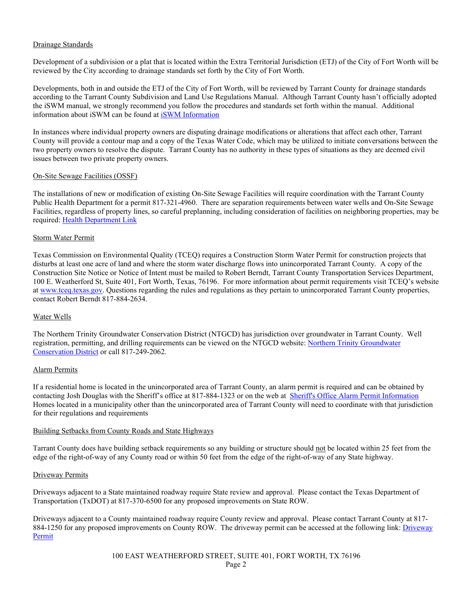# Drainage Standards

Development of a subdivision or a plat that is located within the Extra Territorial Jurisdiction (ETJ) of the City of Fort Worth will be reviewed by the City according to drainage standards set forth by the City of Fort Worth.

Developments, both in and outside the ETJ of the City of Fort Worth, will be reviewed by Tarrant County for drainage standards according to the Tarrant County Subdivision and Land Use Regulations Manual. Although Tarrant County hasn't officially adopted the iSWM manual, we strongly recommend you follow the procedures and standards set forth within the manual. Additional information about iSWM can be found a[t iSWM Information](http://www.iswm.nctcog.org/) 

In instances where individual property owners are disputing drainage modifications or alterations that affect each other, Tarrant County will provide a contour map and a copy of the Texas Water Code, which may be utilized to initiate conversations between the two property owners to resolve the dispute. Tarrant County has no authority in these types of situations as they are deemed civil issues between two private property owners.

#### On-Site Sewage Facilities (OSSF)

The installations of new or modification of existing On-Site Sewage Facilities will require coordination with the Tarrant County Public Health Department for a permit 817-321-4960. There are separation requirements between water wells and On-Site Sewage Facilities, regardless of property lines, so careful preplanning, including consideration of facilities on neighboring properties, may be required: [Health Department Link](http://access.tarrantcounty.com/en/public-health/environmental-health-promotion/ossf.html?linklocation=Programs%20and%20Initiatives&linkname=On-Site%20Sewage%20Facilities)

### Storm Water Permit

Texas Commission on Environmental Quality (TCEQ) requires a Construction Storm Water Permit for construction projects that disturbs at least one acre of land and where the storm water discharge flows into unincorporated Tarrant County. A copy of the Construction Site Notice or Notice of Intent must be mailed to Robert Berndt, Tarrant County Transportation Services Department, 100 E. Weatherford St, Suite 401, Fort Worth, Texas, 76196. For more information about permit requirements visit TCEQ's website at [www.tceq.texas.gov.](http://www.tceq.texas.gov/) Questions regarding the rules and regulations as they pertain to unincorporated Tarrant County properties, contact Robert Berndt 817-884-2634.

### Water Wells

The Northern Trinity Groundwater Conservation District (NTGCD) has jurisdiction over groundwater in Tarrant County. Well registration, permitting, and drilling requirements can be viewed on the NTGCD website[: Northern Trinity Groundwater](http://www.ntgcd.com/index.html)  [Conservation District](http://www.ntgcd.com/index.html) or call 817-249-2062.

#### Alarm Permits

If a residential home is located in the unincorporated area of Tarrant County, an alarm permit is required and can be obtained by contacting Josh Douglas with the Sheriff's office at 817-884-1323 or on the web at [Sheriff's Office Alarm Permit Information](http://access.tarrantcounty.com/en/sheriff/operations-bureau/communications-and-technology/alarm-permit.html)  Homes located in a municipality other than the unincorporated area of Tarrant County will need to coordinate with that jurisdiction for their regulations and requirements

#### Building Setbacks from County Roads and State Highways

Tarrant County does have building setback requirements so any building or structure should not be located within 25 feet from the edge of the right-of-way of any County road or within 50 feet from the edge of the right-of-way of any State highway.

### Driveway Permits

Driveways adjacent to a State maintained roadway require State review and approval. Please contact the Texas Department of Transportation (TxDOT) at 817-370-6500 for any proposed improvements on State ROW.

Driveways adjacent to a County maintained roadway require County review and approval. Please contact Tarrant County at 817- 884-1250 for any proposed improvements on County ROW. The driveway permit can be accessed at the following link: *Driveway* [Permit](http://access.tarrantcounty.com/en/transportation/engineering/driveway-access-permits.html)